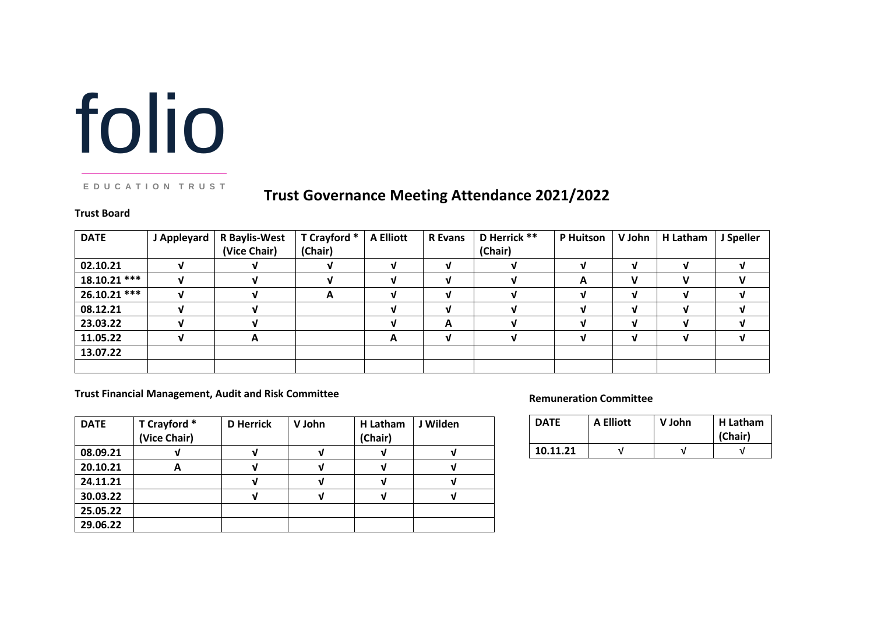# folio

#### **E D U C A T I O N T R U S T**

# **Trust Governance Meeting Attendance 2021/2022**

#### **Trust Board**

| <b>DATE</b>    | J Appleyard | <b>R</b> Baylis-West<br>(Vice Chair) | T Crayford *<br>(Chair) | <b>A Elliott</b> | <b>R</b> Evans | D Herrick **<br>(Chair) | P Huitson | V John | H Latham | J Speller |
|----------------|-------------|--------------------------------------|-------------------------|------------------|----------------|-------------------------|-----------|--------|----------|-----------|
| 02.10.21       |             |                                      |                         | v                |                |                         |           | ν      |          |           |
| $18.10.21$ *** |             |                                      |                         | v                | v              |                         | A         | v      | v        | v         |
| $26.10.21$ *** |             |                                      | A                       | v                | νI             |                         |           | V      |          |           |
| 08.12.21       |             |                                      |                         | M                |                |                         |           | J      |          |           |
| 23.03.22       |             |                                      |                         | v                | A              |                         |           | ν      |          |           |
| 11.05.22       |             | A                                    |                         | A                | v              |                         |           | ν      |          |           |
| 13.07.22       |             |                                      |                         |                  |                |                         |           |        |          |           |
|                |             |                                      |                         |                  |                |                         |           |        |          |           |

#### **Trust Financial Management, Audit and Risk Committee**

| <b>DATE</b> | T Crayford *<br>(Vice Chair) | <b>D</b> Herrick | V John | H Latham<br>(Chair) | J Wilden |
|-------------|------------------------------|------------------|--------|---------------------|----------|
| 08.09.21    |                              |                  |        |                     |          |
| 20.10.21    | A                            |                  |        |                     |          |
| 24.11.21    |                              |                  |        |                     |          |
| 30.03.22    |                              |                  |        |                     |          |
| 25.05.22    |                              |                  |        |                     |          |
| 29.06.22    |                              |                  |        |                     |          |

#### **Remuneration Committee**

| <b>DATE</b> | A Elliott | V John | H Latham<br>(Chair) |  |
|-------------|-----------|--------|---------------------|--|
| 10.11.21    |           |        |                     |  |